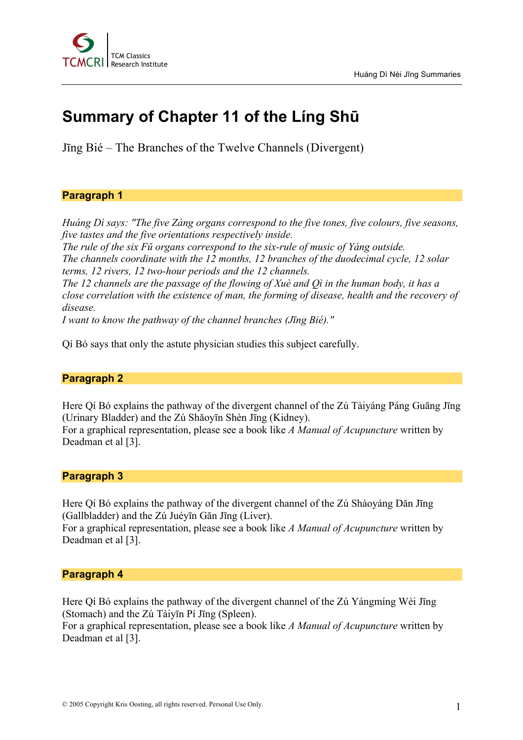

# **Summary of Chapter 11 of the Líng Shū**

Jīng Bié – The Branches of the Twelve Channels (Divergent)

# **Paragraph 1**

*Huáng Dì says: "The five Zàng organs correspond to the five tones, five colours, five seasons, five tastes and the five orientations respectively inside.*

*The rule of the six Fŭ organs correspond to the six-rule of music of Yáng outside. The channels coordinate with the 12 months, 12 branches of the duodecimal cycle, 12 solar terms, 12 rivers, 12 two-hour periods and the 12 channels.*

*The 12 channels are the passage of the flowing of Xuè and Qì in the human body, it has a close correlation with the existence of man, the forming of disease, health and the recovery of disease.*

*I want to know the pathway of the channel branches (Jīng Bié)."*

Qí Bó says that only the astute physician studies this subject carefully.

## **Paragraph 2**

Here Qí Bó explains the pathway of the divergent channel of the Zú Tàiyáng Páng Guāng Jīng (Urinary Bladder) and the Zú Shăoyīn Shèn Jīng (Kidney). For a graphical representation, please see a book like *A Manual of Acupuncture* written by

# **Paragraph 3**

Deadman et al [3].

Here Qí Bó explains the pathway of the divergent channel of the Zú Shàoyáng Dăn Jīng (Gallbladder) and the Zú Juéyīn Gān Jīng (Liver).

For a graphical representation, please see a book like *A Manual of Acupuncture* written by Deadman et al [3].

#### **Paragraph 4**

Here Qí Bó explains the pathway of the divergent channel of the Zú Yángmíng Wèi Jīng (Stomach) and the Zú Tàiyīn Pí Jīng (Spleen).

For a graphical representation, please see a book like *A Manual of Acupuncture* written by Deadman et al [3].